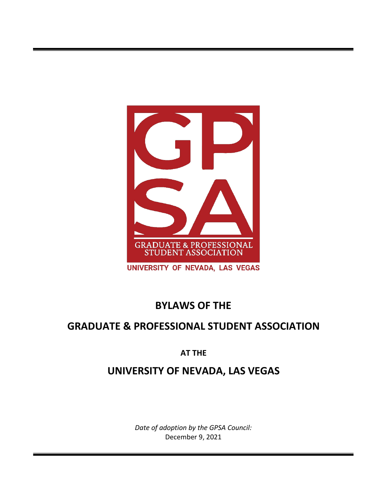

# **BYLAWS OF THE**

# **GRADUATE & PROFESSIONAL STUDENT ASSOCIATION**

## **AT THE**

# **UNIVERSITY OF NEVADA, LAS VEGAS**

*Date of adoption by the GPSA Council:* December 9, 2021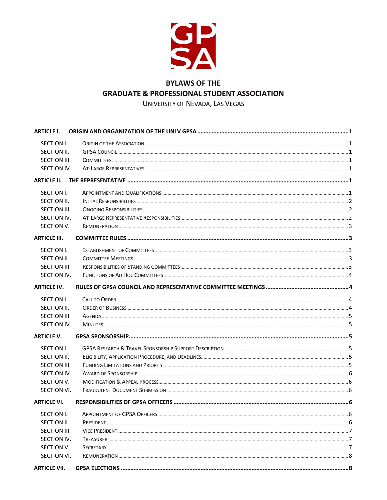

## **BYLAWS OF THE GRADUATE & PROFESSIONAL STUDENT ASSOCIATION**

UNIVERSITY OF NEVADA, LAS VEGAS

| <b>ARTICLE I.</b>   |  |
|---------------------|--|
| SECTION I.          |  |
| SECTION II.         |  |
| SECTION III.        |  |
| SECTION IV.         |  |
| <b>ARTICLE II.</b>  |  |
| SECTION I.          |  |
| SECTION II.         |  |
| SECTION III.        |  |
| SECTION IV.         |  |
| SECTION V.          |  |
| <b>ARTICLE III.</b> |  |
| SECTION I.          |  |
| SECTION II.         |  |
| SECTION III.        |  |
| SECTION IV.         |  |
| <b>ARTICLE IV.</b>  |  |
| SECTION I.          |  |
| SECTION II.         |  |
| SECTION III.        |  |
| SECTION IV.         |  |
| <b>ARTICLE V.</b>   |  |
| SECTION I.          |  |
| SECTION II.         |  |
| SECTION III.        |  |
| SECTION IV.         |  |
| SECTION V.          |  |
| SECTION VI.         |  |
| <b>ARTICLE VI.</b>  |  |
| <b>SECTION I.</b>   |  |
| SECTION II.         |  |
| <b>SECTION III.</b> |  |
| SECTION IV.         |  |
| SECTION V.          |  |
| <b>SECTION VI.</b>  |  |
| <b>ARTICLE VII.</b> |  |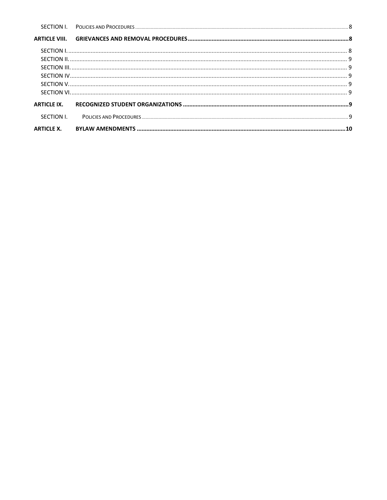| <b>ARTICLE X.</b> |  |
|-------------------|--|
|                   |  |
|                   |  |
|                   |  |
|                   |  |
|                   |  |
|                   |  |
|                   |  |
|                   |  |
|                   |  |
|                   |  |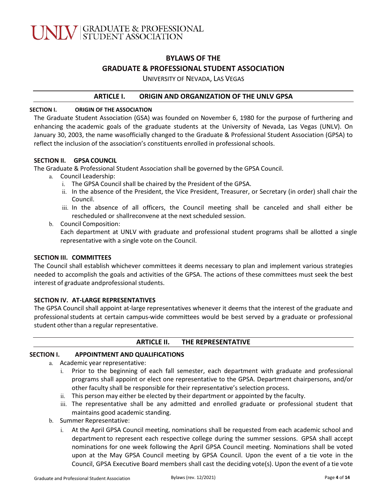## **BYLAWS OF THE GRADUATE & PROFESSIONAL STUDENT ASSOCIATION**

UNIVERSITY OF NEVADA, LAS VEGAS

#### <span id="page-3-0"></span>**ARTICLE I. ORIGIN AND ORGANIZATION OF THE UNLV GPSA**

#### **SECTION I. ORIGIN OF THE ASSOCIATION**

The Graduate Student Association (GSA) was founded on November 6, 1980 for the purpose of furthering and enhancing the academic goals of the graduate students at the University of Nevada, Las Vegas (UNLV). On January 30, 2003, the name wasofficially changed to the Graduate & Professional Student Association (GPSA) to reflect the inclusion of the association's constituents enrolled in professional schools.

#### **SECTION II. GPSA COUNCIL**

The Graduate & Professional Student Association shall be governed by the GPSA Council.

- a. Council Leadership:
	- i. The GPSA Council shall be chaired by the President of the GPSA.
	- ii. In the absence of the President, the Vice President, Treasurer, or Secretary (in order) shall chair the Council.
	- iii. In the absence of all officers, the Council meeting shall be canceled and shall either be rescheduled or shallreconvene at the next scheduled session.
- b. Council Composition:

Each department at UNLV with graduate and professional student programs shall be allotted a single representative with a single vote on the Council.

#### **SECTION III. COMMITTEES**

The Council shall establish whichever committees it deems necessary to plan and implement various strategies needed to accomplish the goals and activities of the GPSA. The actions of these committees must seek the best interest of graduate andprofessional students.

#### **SECTION IV. AT‐LARGE REPRESENTATIVES**

The GPSA Council shall appoint at‐large representatives whenever it deems that the interest of the graduate and professional students at certain campus-wide committees would be best served by a graduate or professional student other than a regular representative.

#### <span id="page-3-1"></span>**ARTICLE II. THE REPRESENTATIVE**

#### **SECTION I. APPOINTMENT AND QUALIFICATIONS**

- a. Academic year representative:
	- i. Prior to the beginning of each fall semester, each department with graduate and professional programs shall appoint or elect one representative to the GPSA. Department chairpersons, and/or other faculty shall be responsible for their representative's selection process.
	- ii. This person may either be elected by their department or appointed by the faculty.
	- iii. The representative shall be any admitted and enrolled graduate or professional student that maintains good academic standing.
- b. Summer Representative:
	- i. At the April GPSA Council meeting, nominations shall be requested from each academic school and department to represent each respective college during the summer sessions. GPSA shall accept nominations for one week following the April GPSA Council meeting. Nominations shall be voted upon at the May GPSA Council meeting by GPSA Council. Upon the event of a tie vote in the Council, GPSA Executive Board members shall cast the deciding vote(s). Upon the event of a tie vote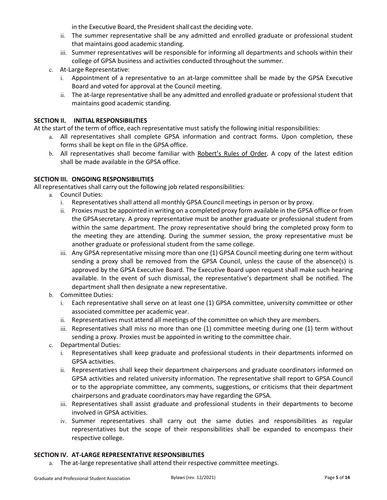in the Executive Board, the President shall cast the deciding vote.

- ii. The summer representative shall be any admitted and enrolled graduate or professional student that maintains good academic standing.
- iii. Summer representatives will be responsible for informing all departments and schools within their college of GPSA business and activities conducted throughout the summer.
- c. At‐Large Representative:
	- i. Appointment of a representative to an at‐large committee shall be made by the GPSA Executive Board and voted for approval at the Council meeting.
	- ii. The at‐large representative shall be any admitted and enrolled graduate or professional student that maintains good academic standing.

#### **SECTION II. INITIAL RESPONSIBILITIES**

At the start of the term of office, each representative must satisfy the following initial responsibilities:

- a. All representatives shall complete GPSA information and contract forms. Upon completion, these forms shall be kept on file in the GPSA office.
- b. All representatives shall become familiar with Robert's Rules of Order. A copy of the latest edition shall be made available in the GPSA office.

#### **SECTION III. ONGOING RESPONSIBILITIES**

All representatives shall carry out the following job related responsibilities:

- a. Council Duties:
	- i. Representatives shall attend all monthly GPSA Council meetings in person or by proxy.
	- ii. Proxies must be appointed in writing on a completed proxy form available in the GPSA office or from the GPSAsecretary. A proxy representative must be another graduate or professional student from within the same department. The proxy representative should bring the completed proxy form to the meeting they are attending. During the summer session, the proxy representative must be another graduate or professional student from the same college.
	- iii. Any GPSA representative missing more than one (1) GPSA Council meeting during one term without sending a proxy shall be removed from the GPSA Council, unless the cause of the absence(s) is approved by the GPSA Executive Board. The Executive Board upon request shall make such hearing available. In the event of such dismissal, the representative's department shall be notified. The department shall then designate a new representative.
- b. Committee Duties:
	- i. Each representative shall serve on at least one (1) GPSA committee, university committee or other associated committee per academic year.
	- ii. Representatives must attend all meetings of the committee on which they are members.
	- iii. Representatives shall miss no more than one (1) committee meeting during one (1) term without sending a proxy. Proxies must be appointed in writing to the committee chair.
- c. Departmental Duties:
	- i. Representatives shall keep graduate and professional students in their departments informed on GPSA activities.
	- ii. Representatives shall keep their department chairpersons and graduate coordinators informed on GPSA activities and related university information. The representative shall report to GPSA Council or to the appropriate committee, any comments, suggestions, or criticisms that their department chairpersons and graduate coordinators may have regarding the GPSA.
	- iii. Representatives shall assist graduate and professional students in their departments to become involved in GPSA activities.
	- iv. Summer representatives shall carry out the same duties and responsibilities as regular representatives but the scope of their responsibilities shall be expanded to encompass their respective college.

#### **SECTION IV. AT‐LARGE REPRESENTATIVE RESPONSIBILITIES**

a. The at-large representative shall attend their respective committee meetings.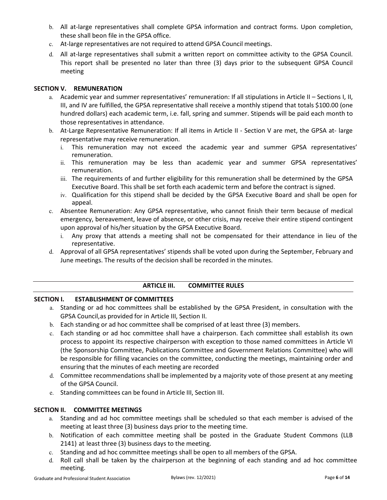- b. All at-large representatives shall complete GPSA information and contract forms. Upon completion, these shall beon file in the GPSA office.
- c. At-large representatives are not required to attend GPSA Council meetings.
- d. All at‐large representatives shall submit a written report on committee activity to the GPSA Council. This report shall be presented no later than three (3) days prior to the subsequent GPSA Council meeting

#### **SECTION V. REMUNERATION**

- a. Academic year and summer representatives' remuneration: If all stipulations in Article II Sections I, II, III, and IV are fulfilled, the GPSA representative shall receive a monthly stipend that totals \$100.00 (one hundred dollars) each academic term, i.e. fall, spring and summer. Stipends will be paid each month to those representatives in attendance.
- b. At-Large Representative Remuneration: If all items in Article II Section V are met, the GPSA at- large representative may receive remuneration.
	- i. This remuneration may not exceed the academic year and summer GPSA representatives' remuneration.
	- ii. This remuneration may be less than academic year and summer GPSA representatives' remuneration.
	- iii. The requirements of and further eligibility for this remuneration shall be determined by the GPSA Executive Board. This shall be set forth each academic term and before the contract is signed.
	- iv. Qualification for this stipend shall be decided by the GPSA Executive Board and shall be open for appeal.
- c. Absentee Remuneration: Any GPSA representative, who cannot finish their term because of medical emergency, bereavement, leave of absence, or other crisis, may receive their entire stipend contingent upon approval of his/her situation by the GPSA Executive Board.
	- i. Any proxy that attends a meeting shall not be compensated for their attendance in lieu of the representative.
- d. Approval of all GPSA representatives' stipends shall be voted upon during the September, February and June meetings. The results of the decision shall be recorded in the minutes.

#### <span id="page-5-0"></span>**ARTICLE III. COMMITTEE RULES**

#### **SECTION I. ESTABLISHMENT OF COMMITTEES**

- a. Standing or ad hoc committees shall be established by the GPSA President, in consultation with the GPSA Council,as provided for in Article III, Section II.
- b. Each standing or ad hoc committee shall be comprised of at least three (3) members.
- c. Each standing or ad hoc committee shall have a chairperson. Each committee shall establish its own process to appoint its respective chairperson with exception to those named committees in Article VI (the Sponsorship Committee, Publications Committee and Government Relations Committee) who will be responsible for filling vacancies on the committee, conducting the meetings, maintaining order and ensuring that the minutes of each meeting are recorded
- d. Committee recommendations shall be implemented by a majority vote of those present at any meeting of the GPSA Council.
- e. Standing committees can be found in Article III, Section III.

#### **SECTION II. COMMITTEE MEETINGS**

- a. Standing and ad hoc committee meetings shall be scheduled so that each member is advised of the meeting at least three (3) business days prior to the meeting time.
- b. Notification of each committee meeting shall be posted in the Graduate Student Commons (LLB 2141) at least three (3) business days to the meeting.
- c. Standing and ad hoc committee meetings shall be open to all members of the GPSA.
- d. Roll call shall be taken by the chairperson at the beginning of each standing and ad hoc committee meeting.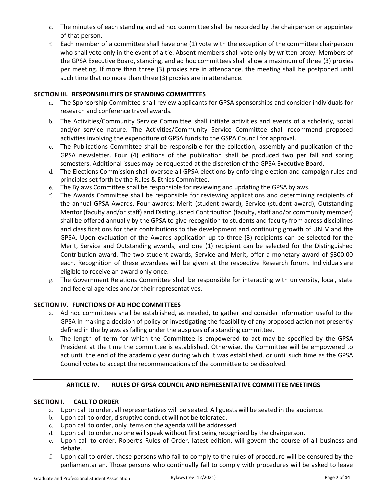- e. The minutes of each standing and ad hoc committee shall be recorded by the chairperson or appointee of that person.
- f. Each member of a committee shall have one (1) vote with the exception of the committee chairperson who shall vote only in the event of a tie. Absent members shall vote only by written proxy. Members of the GPSA Executive Board, standing, and ad hoc committees shall allow a maximum of three (3) proxies per meeting. If more than three (3) proxies are in attendance, the meeting shall be postponed until such time that no more than three (3) proxies are in attendance.

#### **SECTION III. RESPONSIBILITIES OF STANDING COMMITTEES**

- a. The Sponsorship Committee shall review applicants for GPSA sponsorships and consider individuals for research and conference travel awards.
- b. The Activities/Community Service Committee shall initiate activities and events of a scholarly, social and/or service nature. The Activities/Community Service Committee shall recommend proposed activities involving the expenditure of GPSA funds to the GSPA Council for approval.
- c. The Publications Committee shall be responsible for the collection, assembly and publication of the GPSA newsletter. Four (4) editions of the publication shall be produced two per fall and spring semesters. Additional issues may be requested at the discretion of the GPSA Executive Board.
- d. The Elections Commission shall oversee all GPSA elections by enforcing election and campaign rules and principles set forth by the Rules & Ethics Committee.
- e. The Bylaws Committee shall be responsible for reviewing and updating the GPSA bylaws.
- f. The Awards Committee shall be responsible for reviewing applications and determining recipients of the annual GPSA Awards. Four awards: Merit (student award), Service (student award), Outstanding Mentor (faculty and/or staff) and Distinguished Contribution (faculty, staff and/or community member) shall be offered annually by the GPSA to give recognition to students and faculty from across disciplines and classifications for their contributions to the development and continuing growth of UNLV and the GPSA. Upon evaluation of the Awards application up to three (3) recipients can be selected for the Merit, Service and Outstanding awards, and one (1) recipient can be selected for the Distinguished Contribution award. The two student awards, Service and Merit, offer a monetary award of \$300.00 each. Recognition of these awardees will be given at the respective Research forum. Individuals are eligible to receive an award only once.
- g. The Government Relations Committee shall be responsible for interacting with university, local, state and federal agencies and/or their representatives.

#### **SECTION IV. FUNCTIONS OF AD HOC COMMITTEES**

- a. Ad hoc committees shall be established, as needed, to gather and consider information useful to the GPSA in making a decision of policy or investigating the feasibility of any proposed action not presently defined in the bylaws as falling under the auspices of a standing committee.
- b. The length of term for which the Committee is empowered to act may be specified by the GPSA President at the time the committee is established. Otherwise, the Committee will be empowered to act until the end of the academic year during which it was established, or until such time as the GPSA Council votes to accept the recommendations of the committee to be dissolved.

#### **ARTICLE IV. RULES OF GPSA COUNCIL AND REPRESENTATIVE COMMITTEE MEETINGS**

#### <span id="page-6-0"></span>**SECTION I. CALL TO ORDER**

- a. Upon call to order, all representatives will be seated. All guests will be seated in the audience.
- b. Upon call to order, disruptive conduct will not be tolerated.
- c. Upon call to order, only items on the agenda will be addressed.
- d. Upon call to order, no one will speak without first being recognized by the chairperson.
- e. Upon call to order, Robert's Rules of Order, latest edition, will govern the course of all business and debate.
- f. Upon call to order, those persons who fail to comply to the rules of procedure will be censured by the parliamentarian. Those persons who continually fail to comply with procedures will be asked to leave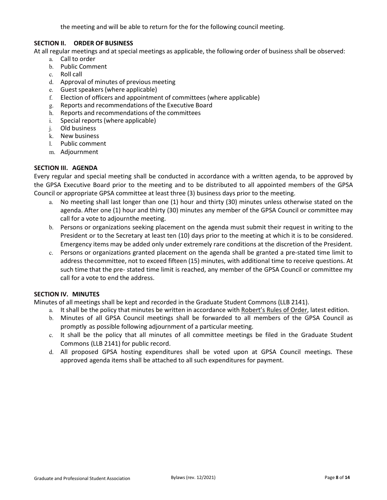the meeting and will be able to return for the for the following council meeting.

#### **SECTION II. ORDER OF BUSINESS**

At all regular meetings and at special meetings as applicable, the following order of business shall be observed:

- a. Call to order
- b. Public Comment
- c. Roll call
- d. Approval of minutes of previous meeting
- e. Guest speakers (where applicable)
- f. Election of officers and appointment of committees (where applicable)
- g. Reports and recommendations of the Executive Board
- h. Reports and recommendations of the committees
- i. Special reports (where applicable)
- j. Old business
- k. New business
- l. Public comment
- m. Adjournment

#### **SECTION III. AGENDA**

Every regular and special meeting shall be conducted in accordance with a written agenda, to be approved by the GPSA Executive Board prior to the meeting and to be distributed to all appointed members of the GPSA Council or appropriate GPSA committee at least three (3) business days prior to the meeting.

- a. No meeting shall last longer than one (1) hour and thirty (30) minutes unless otherwise stated on the agenda. After one (1) hour and thirty (30) minutes any member of the GPSA Council or committee may call for a vote to adjournthe meeting.
- b. Persons or organizations seeking placement on the agenda must submit their request in writing to the President or to the Secretary at least ten (10) days prior to the meeting at which it is to be considered. Emergency items may be added only under extremely rare conditions at the discretion of the President.
- c. Persons or organizations granted placement on the agenda shall be granted a pre‐stated time limit to address thecommittee, not to exceed fifteen (15) minutes, with additional time to receive questions. At such time that the pre‐ stated time limit is reached, any member of the GPSA Council or committee my call for a vote to end the address.

#### **SECTION IV. MINUTES**

Minutes of all meetings shall be kept and recorded in the Graduate Student Commons (LLB 2141).

- a. It shall be the policy that minutes be written in accordance with Robert's Rules of Order, latest edition.
- b. Minutes of all GPSA Council meetings shall be forwarded to all members of the GPSA Council as promptly as possible following adjournment of a particular meeting.
- c. It shall be the policy that all minutes of all committee meetings be filed in the Graduate Student Commons (LLB 2141) for public record.
- d. All proposed GPSA hosting expenditures shall be voted upon at GPSA Council meetings. These approved agenda items shall be attached to all such expenditures for payment.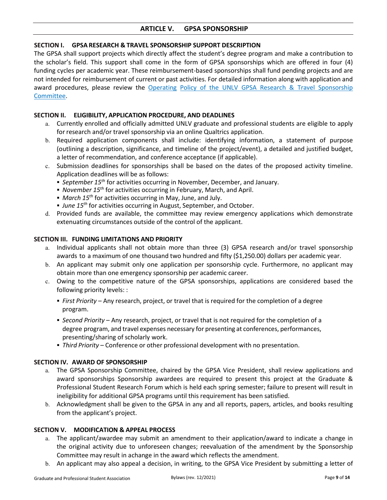#### <span id="page-8-0"></span>**ARTICLE V. GPSA SPONSORSHIP**

#### **SECTION I. GPSA RESEARCH & TRAVEL SPONSORSHIP SUPPORT DESCRIPTION**

The GPSA shall support projects which directly affect the student's degree program and make a contribution to the scholar's field. This support shall come in the form of GPSA sponsorships which are offered in four (4) funding cycles per academic year. These reimbursement‐based sponsorships shall fund pending projects and are not intended for reimbursement of current or past activities. For detailed information along with application and award procedures, please review the Operating Policy of the UNLV GPSA Research & Travel Sponsorship Committee.

#### **SECTION II. ELIGIBILITY, APPLICATION PROCEDURE, AND DEADLINES**

- a. Currently enrolled and officially admitted UNLV graduate and professional students are eligible to apply for research and/or travel sponsorship via an online Qualtrics application.
- b. Required application components shall include: identifying information, a statement of purpose (outlining a description, significance, and timeline of the project/event), a detailed and justified budget, a letter of recommendation, and conference acceptance (if applicable).
- c. Submission deadlines for sponsorships shall be based on the dates of the proposed activity timeline. Application deadlines will be as follows:
	- *September 15th* for activities occurring in November, December, and January.
	- *November 15th* for activities occurring in February, March, and April.
	- *March 15th* for activities occurring in May, June, and July.
	- *June 15th* for activities occurring in August, September, and October.
- d. Provided funds are available, the committee may review emergency applications which demonstrate extenuating circumstances outside of the control of the applicant.

#### **SECTION III. FUNDING LIMITATIONS AND PRIORITY**

- a. Individual applicants shall not obtain more than three (3) GPSA research and/or travel sponsorship awards to a maximum of one thousand two hundred and fifty (\$1,250.00) dollars per academic year.
- b. An applicant may submit only one application per sponsorship cycle. Furthermore, no applicant may obtain more than one emergency sponsorship per academic career.
- c. Owing to the competitive nature of the GPSA sponsorships, applications are considered based the following priority levels: :
	- *First Priority* Any research, project, or travel that is required for the completion of a degree program.
	- *Second Priority*  Any research, project, or travel that is not required for the completion of a degree program, and travel expenses necessary for presenting at conferences, performances, presenting/sharing of scholarly work.
	- *Third Priority* Conference or other professional development with no presentation.

#### **SECTION IV. AWARD OF SPONSORSHIP**

- a. The GPSA Sponsorship Committee, chaired by the GPSA Vice President, shall review applications and award sponsorships Sponsorship awardees are required to present this project at the Graduate & Professional Student Research Forum which is held each spring semester; failure to present will result in ineligibility for additional GPSA programs until this requirement has been satisfied.
- b. Acknowledgment shall be given to the GPSA in any and all reports, papers, articles, and books resulting from the applicant's project.

#### **SECTION V. MODIFICATION & APPEAL PROCESS**

- a. The applicant/awardee may submit an amendment to their application/award to indicate a change in the original activity due to unforeseen changes; reevaluation of the amendment by the Sponsorship Committee may result in achange in the award which reflects the amendment.
- b. An applicant may also appeal a decision, in writing, to the GPSA Vice President by submitting a letter of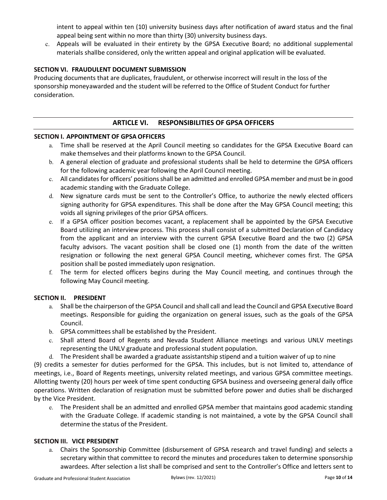intent to appeal within ten (10) university business days after notification of award status and the final appeal being sent within no more than thirty (30) university business days.

c. Appeals will be evaluated in their entirety by the GPSA Executive Board; no additional supplemental materials shallbe considered, only the written appeal and original application will be evaluated.

#### **SECTION VI. FRAUDULENT DOCUMENT SUBMISSION**

Producing documents that are duplicates, fraudulent, or otherwise incorrect will result in the loss of the sponsorship moneyawarded and the student will be referred to the Office of Student Conduct for further consideration.

### **ARTICLE VI. RESPONSIBILITIES OF GPSA OFFICERS**

#### <span id="page-9-0"></span>**SECTION I. APPOINTMENT OF GPSA OFFICERS**

- a. Time shall be reserved at the April Council meeting so candidates for the GPSA Executive Board can make themselves and their platforms known to the GPSA Council.
- b. A general election of graduate and professional students shall be held to determine the GPSA officers for the following academic year following the April Council meeting.
- c. All candidates for officers' positions shall be an admitted and enrolled GPSA member and must be in good academic standing with the Graduate College.
- d. New signature cards must be sent to the Controller's Office, to authorize the newly elected officers signing authority for GPSA expenditures. This shall be done after the May GPSA Council meeting; this voids all signing privileges of the prior GPSA officers.
- e. If a GPSA officer position becomes vacant, a replacement shall be appointed by the GPSA Executive Board utilizing an interview process. This process shall consist of a submitted Declaration of Candidacy from the applicant and an interview with the current GPSA Executive Board and the two (2) GPSA faculty advisors. The vacant position shall be closed one (1) month from the date of the written resignation or following the next general GPSA Council meeting, whichever comes first. The GPSA position shall be posted immediately upon resignation.
- f. The term for elected officers begins during the May Council meeting, and continues through the following May Council meeting.

#### **SECTION II. PRESIDENT**

- a. Shall be the chairperson of the GPSA Council and shall call and lead the Council and GPSA Executive Board meetings. Responsible for guiding the organization on general issues, such as the goals of the GPSA Council.
- b. GPSA committees shall be established by the President.
- c. Shall attend Board of Regents and Nevada Student Alliance meetings and various UNLV meetings representing the UNLV graduate and professional student population.
- d. The President shall be awarded a graduate assistantship stipend and a tuition waiver of up to nine

(9) credits a semester for duties performed for the GPSA. This includes, but is not limited to, attendance of meetings, i.e., Board of Regents meetings, university related meetings, and various GPSA committee meetings. Allotting twenty (20) hours per week of time spent conducting GPSA business and overseeing general daily office operations. Written declaration of resignation must be submitted before power and duties shall be discharged by the Vice President.

e. The President shall be an admitted and enrolled GPSA member that maintains good academic standing with the Graduate College. If academic standing is not maintained, a vote by the GPSA Council shall determine the status of the President.

#### **SECTION III. VICE PRESIDENT**

a. Chairs the Sponsorship Committee (disbursement of GPSA research and travel funding) and selects a secretary within that committee to record the minutes and procedures taken to determine sponsorship awardees. After selection a list shall be comprised and sent to the Controller's Office and letters sent to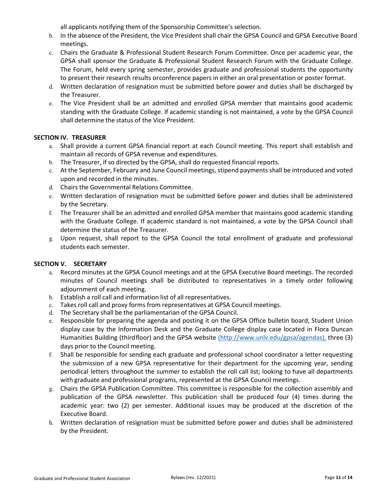all applicants notifying them of the Sponsorship Committee's selection.

- b. In the absence of the President, the Vice President shall chair the GPSA Council and GPSA Executive Board meetings.
- c. Chairs the Graduate & Professional Student Research Forum Committee. Once per academic year, the GPSA shall sponsor the Graduate & Professional Student Research Forum with the Graduate College. The Forum, held every spring semester, provides graduate and professional students the opportunity to present their research results orconference papers in either an oral presentation or poster format.
- d. Written declaration of resignation must be submitted before power and duties shall be discharged by the Treasurer.
- e. The Vice President shall be an admitted and enrolled GPSA member that maintains good academic standing with the Graduate College. If academic standing is not maintained, a vote by the GPSA Council shall determine the status of the Vice President.

#### **SECTION IV. TREASURER**

- a. Shall provide a current GPSA financial report at each Council meeting. This report shall establish and maintain all records of GPSA revenue and expenditures.
- b. The Treasurer, if so directed by the GPSA, shall do requested financial reports.
- c. At the September, February and June Council meetings, stipend payments shall be introduced and voted upon and recorded in the minutes.
- d. Chairs the Governmental Relations Committee.
- e. Written declaration of resignation must be submitted before power and duties shall be administered by the Secretary.
- f. The Treasurer shall be an admitted and enrolled GPSA member that maintains good academic standing with the Graduate College. If academic standard is not maintained, a vote by the GPSA Council shall determine the status of the Treasurer.
- g. Upon request, shall report to the GPSA Council the total enrollment of graduate and professional students each semester.

#### **SECTION V. SECRETARY**

- a. Record minutes at the GPSA Council meetings and at the GPSA Executive Board meetings. The recorded minutes of Council meetings shall be distributed to representatives in a timely order following adjournment of each meeting.
- b. Establish a roll call and information list of all representatives.
- c. Takes roll call and proxy forms from representatives at GPSA Council meetings.
- d. The Secretary shall be the parliamentarian of the GPSA Council.
- e. Responsible for preparing the agenda and posting it on the GPSA Office bulletin board, Student Union display case by the Information Desk and the Graduate College display case located in Flora Duncan Humanities Building (thirdfloor) and the GPSA website [\(http://www.unlv.edu/gpsa/agendas\),](http://www.unlv.edu/gpsa/agendas)) three (3) days prior to the Council meeting.
- f. Shall be responsible for sending each graduate and professional school coordinator a letter requesting the submission of a new GPSA representative for their department for the upcoming year, sending periodical letters throughout the summer to establish the roll call list; looking to have all departments with graduate and professional programs, represented at the GPSA Council meetings.
- g. Chairs the GPSA Publication Committee. This committee is responsible for the collection assembly and publication of the GPSA newsletter. This publication shall be produced four (4) times during the academic year: two (2) per semester. Additional issues may be produced at the discretion of the Executive Board.
- h. Written declaration of resignation must be submitted before power and duties shall be administered by the President.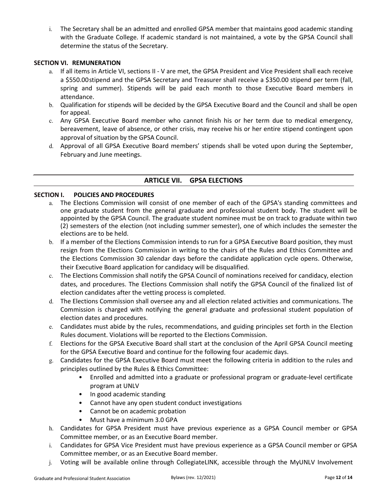i. The Secretary shall be an admitted and enrolled GPSA member that maintains good academic standing with the Graduate College. If academic standard is not maintained, a vote by the GPSA Council shall determine the status of the Secretary.

#### **SECTION VI. REMUNERATION**

- a. If all items in Article VI, sections II ‐ V are met, the GPSA President and Vice President shall each receive a \$550.00stipend and the GPSA Secretary and Treasurer shall receive a \$350.00 stipend per term (fall, spring and summer). Stipends will be paid each month to those Executive Board members in attendance.
- b. Qualification for stipends will be decided by the GPSA Executive Board and the Council and shall be open for appeal.
- c. Any GPSA Executive Board member who cannot finish his or her term due to medical emergency, bereavement, leave of absence, or other crisis, may receive his or her entire stipend contingent upon approval of situation by the GPSA Council.
- d. Approval of all GPSA Executive Board members' stipends shall be voted upon during the September, February and June meetings.

### <span id="page-11-0"></span>**ARTICLE VII. GPSA ELECTIONS**

#### **SECTION I. POLICIES AND PROCEDURES**

- a. The Elections Commission will consist of one member of each of the GPSA's standing committees and one graduate student from the general graduate and professional student body. The student will be appointed by the GPSA Council. The graduate student nominee must be on track to graduate within two (2) semesters of the election (not including summer semester), one of which includes the semester the elections are to be held.
- b. If a member of the Elections Commission intends to run for a GPSA Executive Board position, they must resign from the Elections Commission in writing to the chairs of the Rules and Ethics Committee and the Elections Commission 30 calendar days before the candidate application cycle opens. Otherwise, their Executive Board application for candidacy will be disqualified.
- c. The Elections Commission shall notify the GPSA Council of nominations received for candidacy, election dates, and procedures. The Elections Commission shall notify the GPSA Council of the finalized list of election candidates after the vetting process is completed.
- d. The Elections Commission shall oversee any and all election related activities and communications. The Commission is charged with notifying the general graduate and professional student population of election dates and procedures.
- e. Candidates must abide by the rules, recommendations, and guiding principles set forth in the Election Rules document. Violations will be reported to the Elections Commission.
- f. Elections for the GPSA Executive Board shall start at the conclusion of the April GPSA Council meeting for the GPSA Executive Board and continue for the following four academic days.
- g. Candidates for the GPSA Executive Board must meet the following criteria in addition to the rules and principles outlined by the Rules & Ethics Committee:
	- Enrolled and admitted into a graduate or professional program or graduate-level certificate program at UNLV
	- In good academic standing
	- Cannot have any open student conduct investigations
	- Cannot be on academic probation
	- Must have a minimum 3.0 GPA
- h. Candidates for GPSA President must have previous experience as a GPSA Council member or GPSA Committee member, or as an Executive Board member.
- i. Candidates for GPSA Vice President must have previous experience as a GPSA Council member or GPSA Committee member, or as an Executive Board member.
- j. Voting will be available online through CollegiateLINK, accessible through the MyUNLV Involvement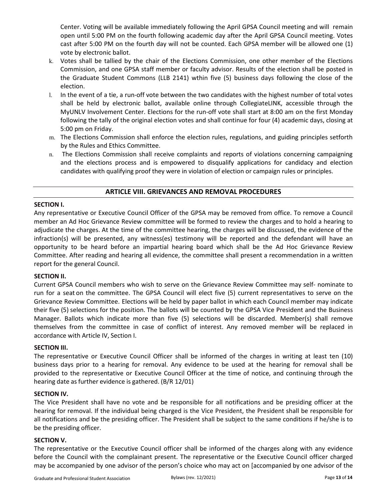Center. Voting will be available immediately following the April GPSA Council meeting and will remain open until 5:00 PM on the fourth following academic day after the April GPSA Council meeting. Votes cast after 5:00 PM on the fourth day will not be counted. Each GPSA member will be allowed one (1) vote by electronic ballot.

- k. Votes shall be tallied by the chair of the Elections Commission, one other member of the Elections Commission, and one GPSA staff member or faculty advisor. Results of the election shall be posted in the Graduate Student Commons (LLB 2141) wthin five (5) business days following the close of the election.
- l. In the event of a tie, a run‐off vote between the two candidates with the highest number of total votes shall be held by electronic ballot, available online through CollegiateLINK, accessible through the MyUNLV Involvement Center. Elections for the run‐off vote shall start at 8:00 am on the first Monday following the tally of the original election votes and shall continue for four (4) academic days, closing at 5:00 pm on Friday.
- m. The Elections Commission shall enforce the election rules, regulations, and guiding principles setforth by the Rules and Ethics Committee.
- <span id="page-12-1"></span>n. The Elections Commission shall receive complaints and reports of violations concerning campaigning and the elections process and is empowered to disqualify applications for candidacy and election candidates with qualifying proof they were in violation of election or campaign rules or principles.

#### **ARTICLE VIII. GRIEVANCES AND REMOVAL PROCEDURES**

#### <span id="page-12-0"></span>**SECTION I.**

Any representative or Executive Council Officer of the GPSA may be removed from office. To remove a Council member an Ad Hoc Grievance Review committee will be formed to review the charges and to hold a hearing to adjudicate the charges. At the time of the committee hearing, the charges will be discussed, the evidence of the infraction(s) will be presented, any witness(es) testimony will be reported and the defendant will have an opportunity to be heard before an impartial hearing board which shall be the Ad Hoc Grievance Review Committee. After reading and hearing all evidence, the committee shall present a recommendation in a written report for the general Council.

#### <span id="page-12-2"></span>**SECTION II.**

Current GPSA Council members who wish to serve on the Grievance Review Committee may self‐ nominate to run for a seat on the committee. The GPSA Council will elect five (5) current representatives to serve on the Grievance Review Committee. Elections will be held by paper ballot in which each Council member may indicate their five (5) selections for the position. The ballots will be counted by the GPSA Vice President and the Business Manager. Ballots which indicate more than five (5) selections will be discarded. Member(s) shall remove themselves from the committee in case of conflict of interest. Any removed member will be replaced in accordance with Article IV, Section I.

#### <span id="page-12-3"></span>**SECTION III.**

The representative or Executive Council Officer shall be informed of the charges in writing at least ten (10) business days prior to a hearing for removal. Any evidence to be used at the hearing for removal shall be provided to the representative or Executive Council Officer at the time of notice, and continuing through the hearing date as further evidence is gathered. (B/R 12/01)

#### <span id="page-12-4"></span>**SECTION IV.**

The Vice President shall have no vote and be responsible for all notifications and be presiding officer at the hearing for removal. If the individual being charged is the Vice President, the President shall be responsible for all notifications and be the presiding officer. The President shall be subject to the same conditions if he/she is to be the presiding officer.

#### <span id="page-12-5"></span>**SECTION V.**

The representative or the Executive Council officer shall be informed of the charges along with any evidence before the Council with the complainant present. The representative or the Executive Council officer charged may be accompanied by one advisor of the person's choice who may act on [accompanied by one advisor of the